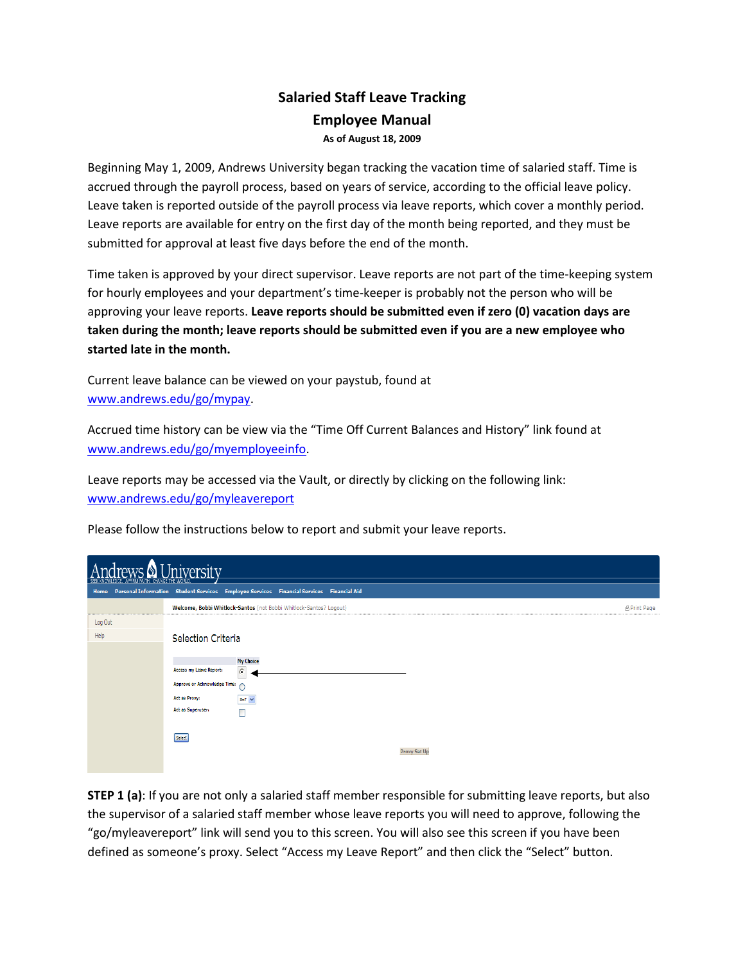## Salaried Staff Leave Tracking Employee Manual As of August 18, 2009

Beginning May 1, 2009, Andrews University began tracking the vacation time of salaried staff. Time is accrued through the payroll process, based on years of service, according to the official leave policy. Leave taken is reported outside of the payroll process via leave reports, which cover a monthly period. Leave reports are available for entry on the first day of the month being reported, and they must be submitted for approval at least five days before the end of the month.

Time taken is approved by your direct supervisor. Leave reports are not part of the time-keeping system for hourly employees and your department's time-keeper is probably not the person who will be approving your leave reports. Leave reports should be submitted even if zero (0) vacation days are taken during the month; leave reports should be submitted even if you are a new employee who started late in the month.

Current leave balance can be viewed on your paystub, found at www.andrews.edu/go/mypay.

Accrued time history can be view via the "Time Off Current Balances and History" link found at www.andrews.edu/go/myemployeeinfo.

Leave reports may be accessed via the Vault, or directly by clicking on the following link: www.andrews.edu/go/myleavereport

Please follow the instructions below to report and submit your leave reports.

| Iniversity<br>120110<br>CHANGE THE WORLD<br>AFFIRM FAITH. |                                                                                                                                                  |                     |  |  |  |  |  |  |  |
|-----------------------------------------------------------|--------------------------------------------------------------------------------------------------------------------------------------------------|---------------------|--|--|--|--|--|--|--|
|                                                           | Home Personal Information Student Services Employee Services Financial Services Financial Aid                                                    |                     |  |  |  |  |  |  |  |
|                                                           | Welcome, Bobbi Whitlock-Santos (not Bobbi Whitlock-Santos? Logout)                                                                               | <b>A Print Page</b> |  |  |  |  |  |  |  |
| Log Out<br>Help                                           | Selection Criteria                                                                                                                               |                     |  |  |  |  |  |  |  |
|                                                           | <b>My Choice</b><br>Access my Leave Report:<br>$\sqrt{6}$<br>Approve or Acknowledge Time:<br><b>Act as Proxy:</b><br>Self V<br>Act as Superuser: |                     |  |  |  |  |  |  |  |
|                                                           | Select<br><b>Proxy Set U</b>                                                                                                                     |                     |  |  |  |  |  |  |  |

**STEP 1 (a)**: If you are not only a salaried staff member responsible for submitting leave reports, but also the supervisor of a salaried staff member whose leave reports you will need to approve, following the "go/myleavereport" link will send you to this screen. You will also see this screen if you have been defined as someone's proxy. Select "Access my Leave Report" and then click the "Select" button.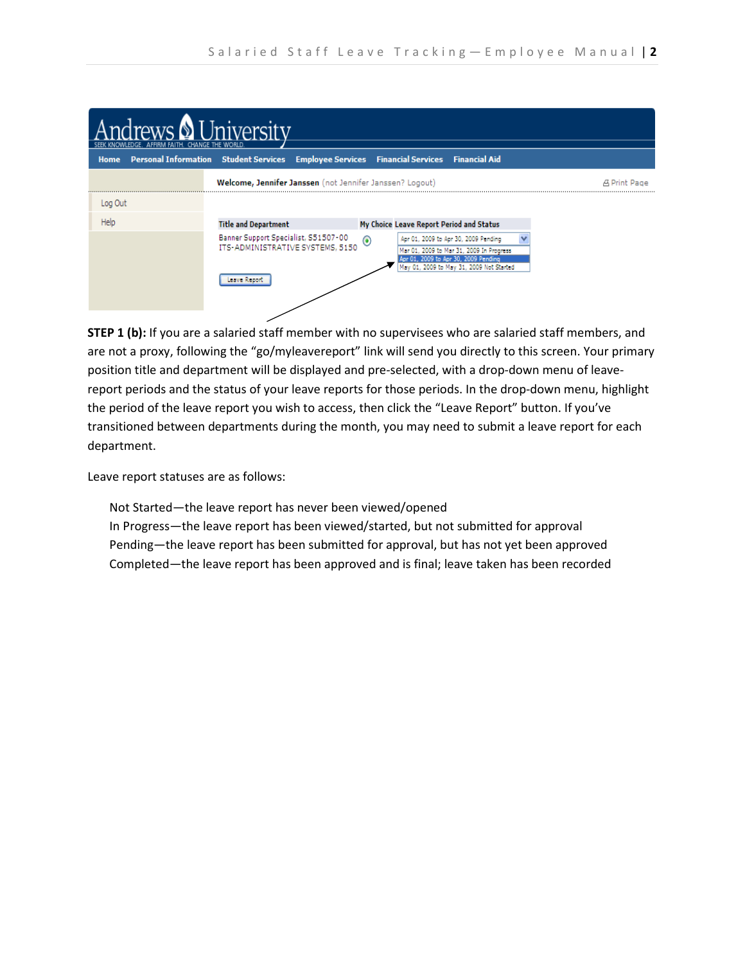| AFFIRM FAITH. CHANGE THE WORLD | I Inivercity                                                                             |                                                                                                                                                                                    |              |
|--------------------------------|------------------------------------------------------------------------------------------|------------------------------------------------------------------------------------------------------------------------------------------------------------------------------------|--------------|
| Home                           | Personal Information Student Services Employee Services Financial Services Financial Aid |                                                                                                                                                                                    |              |
|                                | Welcome, Jennifer Janssen (not Jennifer Janssen? Logout)                                 |                                                                                                                                                                                    | 凸 Print Page |
| Log Out                        |                                                                                          |                                                                                                                                                                                    |              |
| Help                           | <b>Title and Department</b>                                                              | My Choice Leave Report Period and Status                                                                                                                                           |              |
|                                | Banner Support Specialist, S51507-00<br>ITS-ADMINISTRATIVE SYSTEMS, 5150<br>eave Repor   | $_{\odot}$<br>Apr 01, 2009 to Apr 30, 2009 Pending<br>Mar 01, 2009 to Mar 31, 2009 In Progress<br>Apr 01, 2009 to Apr 30, 2009 Pending<br>May 01, 2009 to May 31, 2009 Not Started |              |

STEP 1 (b): If you are a salaried staff member with no supervisees who are salaried staff members, and are not a proxy, following the "go/myleavereport" link will send you directly to this screen. Your primary position title and department will be displayed and pre-selected, with a drop-down menu of leavereport periods and the status of your leave reports for those periods. In the drop-down menu, highlight the period of the leave report you wish to access, then click the "Leave Report" button. If you've transitioned between departments during the month, you may need to submit a leave report for each department.

Leave report statuses are as follows:

Not Started—the leave report has never been viewed/opened

In Progress—the leave report has been viewed/started, but not submitted for approval Pending—the leave report has been submitted for approval, but has not yet been approved Completed—the leave report has been approved and is final; leave taken has been recorded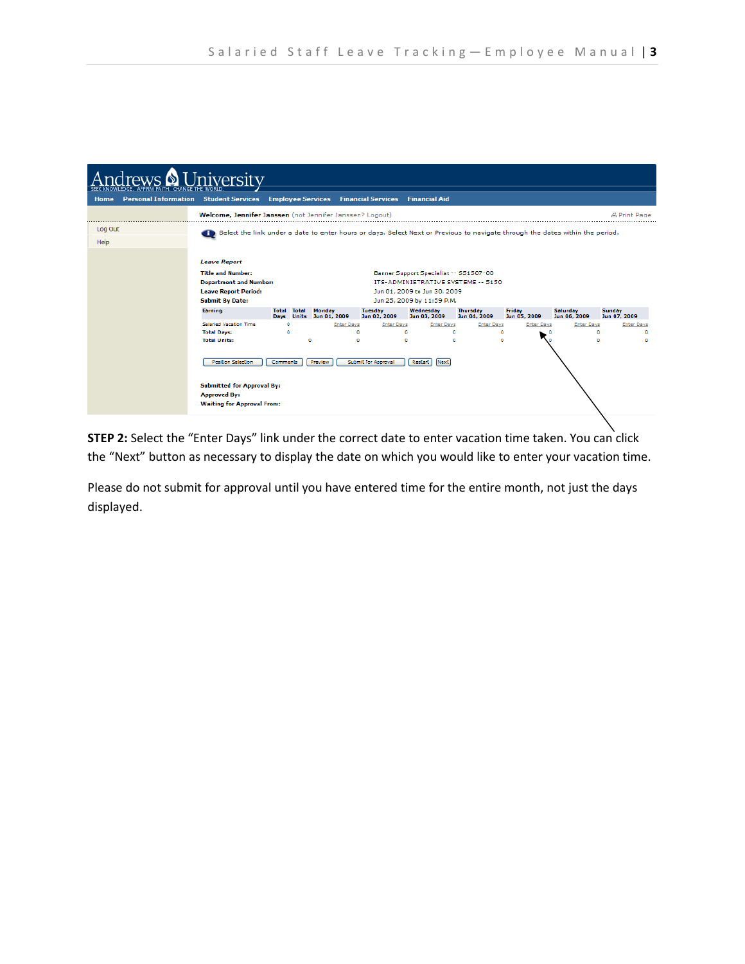| <b>University</b> |                                              |                                                                                                                               |                     |       |                                             |                                |                                        |                                 |                        |                          |                               |
|-------------------|----------------------------------------------|-------------------------------------------------------------------------------------------------------------------------------|---------------------|-------|---------------------------------------------|--------------------------------|----------------------------------------|---------------------------------|------------------------|--------------------------|-------------------------------|
| Home              | <b>Personal Information Student Services</b> |                                                                                                                               |                     |       | <b>Employee Services</b> Financial Services |                                | <b>Financial Aid</b>                   |                                 |                        |                          |                               |
|                   |                                              | Welcome, Jennifer Janssen (not Jennifer Janssen? Logout)                                                                      |                     |       |                                             |                                |                                        |                                 |                        |                          | A Print Page                  |
| Log Out           |                                              | Select the link under a date to enter hours or days. Select Next or Previous to navigate through the dates within the period. |                     |       |                                             |                                |                                        |                                 |                        |                          |                               |
| Help              |                                              |                                                                                                                               |                     |       |                                             |                                |                                        |                                 |                        |                          |                               |
|                   |                                              | <b>Leave Report</b>                                                                                                           |                     |       |                                             |                                |                                        |                                 |                        |                          |                               |
|                   |                                              | <b>Title and Number:</b>                                                                                                      |                     |       |                                             |                                | Banner Support Specialist -- S51507-00 |                                 |                        |                          |                               |
|                   |                                              | <b>Department and Number:</b>                                                                                                 |                     |       |                                             |                                | ITS-ADMINISTRATIVE SYSTEMS -- 5150     |                                 |                        |                          |                               |
|                   |                                              | <b>Leave Report Period:</b>                                                                                                   |                     |       |                                             |                                | Jun 01, 2009 to Jun 30, 2009           |                                 |                        |                          |                               |
|                   |                                              | <b>Submit By Date:</b>                                                                                                        |                     |       |                                             |                                | Jun 25, 2009 by 11:59 P.M.             |                                 |                        |                          |                               |
|                   |                                              | Earning                                                                                                                       | Total<br>Davs Units | Total | <b>Monday</b><br>Jun 01, 2009               | <b>Tuesday</b><br>Jun 02, 2009 | Wednesday<br>Jun 03, 2009              | <b>Thursday</b><br>Jun 04, 2009 | Friday<br>Jun 05, 2009 | Saturday<br>Jun 06, 2009 | <b>Sunday</b><br>Jun 07, 2009 |
|                   |                                              | <b>Salaried Vacation Time</b>                                                                                                 | ٥                   |       | <b>Enter Days</b>                           | <b>Enter Days</b>              | <b>Enter Days</b>                      | <b>Enter Days</b>               | <b>Enter Days</b>      | <b>Enter Days</b>        | <b>Enter Days</b>             |
|                   |                                              | <b>Total Days:</b><br><b>Total Units:</b>                                                                                     | ٥                   | ۰     | ۰<br>٥                                      |                                | ۰<br>$\circ$<br>٠<br>n                 | ۰<br>۰                          |                        |                          | ٥<br>o<br>٥<br>n              |
|                   |                                              |                                                                                                                               |                     |       |                                             |                                |                                        |                                 |                        |                          |                               |
|                   |                                              | <b>Position Selection</b>                                                                                                     | <b>Comments</b>     |       | Preview                                     | Submit for Approval            | <b>Restart</b><br>Next                 |                                 |                        |                          |                               |
|                   |                                              |                                                                                                                               |                     |       |                                             |                                |                                        |                                 |                        |                          |                               |
|                   |                                              | <b>Submitted for Approval By:</b>                                                                                             |                     |       |                                             |                                |                                        |                                 |                        |                          |                               |
|                   |                                              | <b>Approved By:</b>                                                                                                           |                     |       |                                             |                                |                                        |                                 |                        |                          |                               |
|                   |                                              | <b>Waiting for Approval From:</b>                                                                                             |                     |       |                                             |                                |                                        |                                 |                        |                          |                               |
|                   |                                              |                                                                                                                               |                     |       |                                             |                                |                                        |                                 |                        |                          |                               |

STEP 2: Select the "Enter Days" link under the correct date to enter vacation time taken. You can click the "Next" button as necessary to display the date on which you would like to enter your vacation time.

Please do not submit for approval until you have entered time for the entire month, not just the days displayed.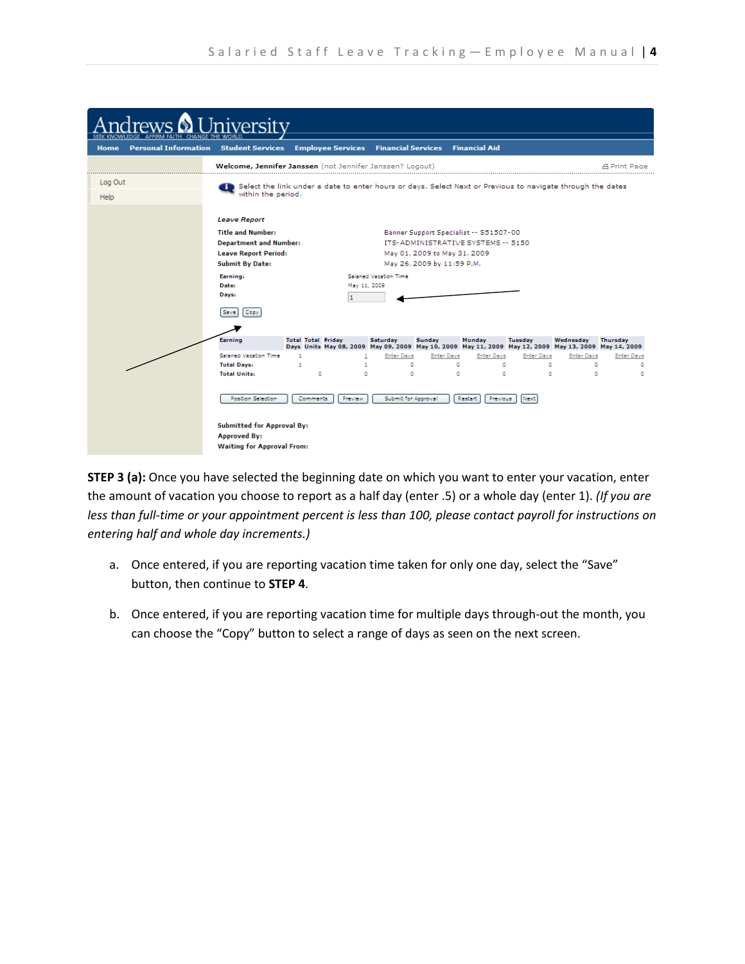|                                     | iversitv                                                                                                                                   |                                                                                                                  |              |                          |                                                                                                                                                                                                        |                             |                       |                   |                   |                                                                                                                   |
|-------------------------------------|--------------------------------------------------------------------------------------------------------------------------------------------|------------------------------------------------------------------------------------------------------------------|--------------|--------------------------|--------------------------------------------------------------------------------------------------------------------------------------------------------------------------------------------------------|-----------------------------|-----------------------|-------------------|-------------------|-------------------------------------------------------------------------------------------------------------------|
| <b>Personal Information</b><br>Home | <b>Student Services</b>                                                                                                                    | <b>Employee Services Financial Services Financial Aid</b>                                                        |              |                          |                                                                                                                                                                                                        |                             |                       |                   |                   |                                                                                                                   |
|                                     | Welcome, Jennifer Janssen (not Jennifer Janssen? Logout)                                                                                   |                                                                                                                  |              |                          |                                                                                                                                                                                                        |                             |                       |                   |                   | <b>A Print Page</b>                                                                                               |
| Log Out                             | within the period.                                                                                                                         | Select the link under a date to enter hours or days. Select Next or Previous to navigate through the dates       |              |                          |                                                                                                                                                                                                        |                             |                       |                   |                   |                                                                                                                   |
| Help                                |                                                                                                                                            |                                                                                                                  |              |                          |                                                                                                                                                                                                        |                             |                       |                   |                   |                                                                                                                   |
|                                     | <b>Title and Number:</b><br><b>Submit By Date:</b><br>Earning:<br>Date:<br>Dáys:<br>Copy<br>Save<br>Earning                                | <b>Leave Report</b><br><b>Department and Number:</b><br><b>Leave Report Period:</b><br><b>Total Total Friday</b> |              |                          | Banner Support Specialist -- S51507-00<br>ITS-ADMINISTRATIVE SYSTEMS -- 5150<br>May 01, 2009 to May 31, 2009<br>May 26, 2009 by 11:59 P.M.<br>Salaried Vacation Time<br>May 11, 2009<br><b>Tuesday</b> |                             |                       |                   |                   | Thursday<br>Days Units May 08, 2009 May 09, 2009 May 10, 2009 May 11, 2009 May 12, 2009 May 13, 2009 May 14, 2009 |
|                                     | Salaried Vacation Time                                                                                                                     | $\mathbf{1}$                                                                                                     | $\mathbf{1}$ | <b>Enter Days</b>        | <b>Enter Days</b>                                                                                                                                                                                      |                             | Enter Days            | <b>Enter Days</b> | <b>Enter Days</b> | <b>Enter Days</b>                                                                                                 |
|                                     | <b>Total Days:</b>                                                                                                                         | 1                                                                                                                | $\mathbf{1}$ | ٥                        |                                                                                                                                                                                                        | ٥                           | ٥                     | $^{\circ}$        | ۰                 | ۰                                                                                                                 |
|                                     | <b>Total Units:</b><br>Position Selection<br><b>Submitted for Approval By:</b><br><b>Approved By:</b><br><b>Waiting for Approval From:</b> | $\circ$<br><b>Comments</b>                                                                                       | ۰<br>Preview | ٥<br>Submit for Approval |                                                                                                                                                                                                        | $\bullet$<br><b>Restart</b> | $\bullet$<br>Previous | $\bullet$<br>Next | $\circ$           | ٥                                                                                                                 |

STEP 3 (a): Once you have selected the beginning date on which you want to enter your vacation, enter the amount of vacation you choose to report as a half day (enter .5) or a whole day (enter 1). (If you are less than full-time or your appointment percent is less than 100, please contact payroll for instructions on entering half and whole day increments.)

- a. Once entered, if you are reporting vacation time taken for only one day, select the "Save" button, then continue to STEP 4.
- b. Once entered, if you are reporting vacation time for multiple days through-out the month, you can choose the "Copy" button to select a range of days as seen on the next screen.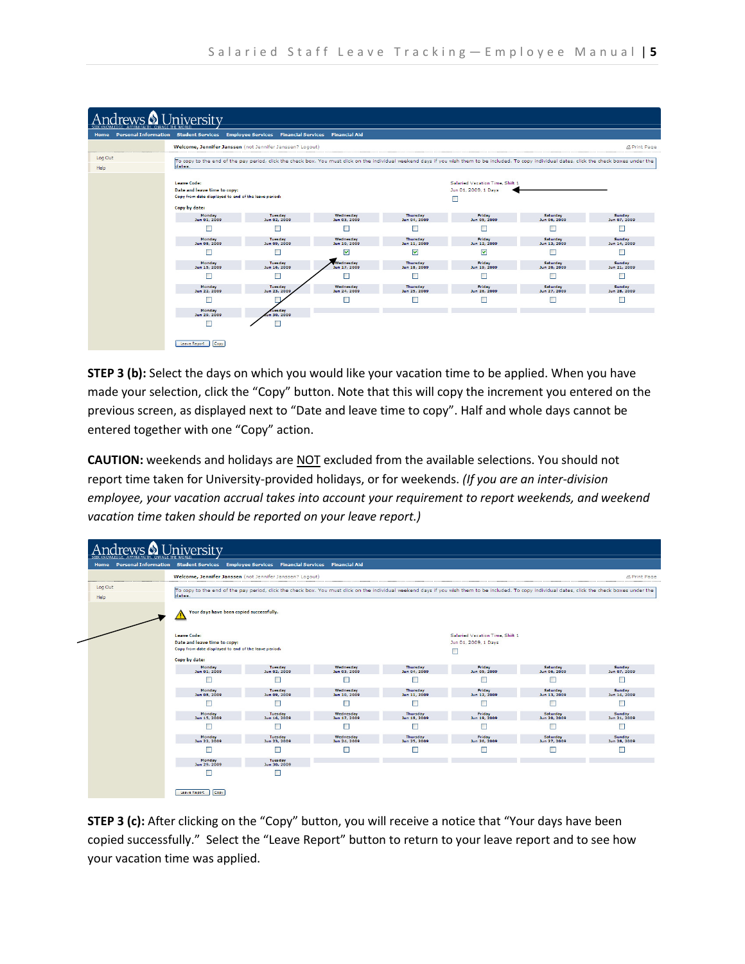| rews & University<br>AFFIRM FAITH. CHANGE THE WORLD |                                                                                                                                                                                        |                                |                           |                          |                                                                                                                                                                                                     |                          |                        |  |  |  |  |  |
|-----------------------------------------------------|----------------------------------------------------------------------------------------------------------------------------------------------------------------------------------------|--------------------------------|---------------------------|--------------------------|-----------------------------------------------------------------------------------------------------------------------------------------------------------------------------------------------------|--------------------------|------------------------|--|--|--|--|--|
|                                                     | Home Personal Information Student Services Employee Services Financial Services Financial Aid                                                                                          |                                |                           |                          |                                                                                                                                                                                                     |                          |                        |  |  |  |  |  |
|                                                     | Welcome, Jennifer Janssen (not Jennifer Janssen? Logout)<br><b>A Print Page</b>                                                                                                        |                                |                           |                          |                                                                                                                                                                                                     |                          |                        |  |  |  |  |  |
| Log Out<br>Help                                     | dates.                                                                                                                                                                                 |                                |                           |                          | To copy to the end of the pay period, click the check box. You must click on the individual weekend days if you wish them to be included. To copy individual dates, click the check boxes under the |                          |                        |  |  |  |  |  |
|                                                     | Salaried Vacation Time, Shift 1<br><b>Leave Code:</b><br>Date and leave time to copy:<br>Jun 01, 2009, 1 Days<br>Copy from date displayed to end of the leave period:<br>Copy by date: |                                |                           |                          |                                                                                                                                                                                                     |                          |                        |  |  |  |  |  |
|                                                     | Monday<br>Jun 01, 2009                                                                                                                                                                 | <b>Tuesday</b><br>Jun 02, 2009 | Wednesday<br>Jun 03, 2009 | Thursday<br>Jun 04, 2009 | Friday<br>Jun 05, 2009                                                                                                                                                                              | Saturday<br>Jun 06, 2009 | Sunday<br>Jun 07, 2009 |  |  |  |  |  |
|                                                     |                                                                                                                                                                                        |                                |                           |                          |                                                                                                                                                                                                     |                          |                        |  |  |  |  |  |
|                                                     | Monday<br>Jun 08, 2009                                                                                                                                                                 | <b>Tuesday</b><br>Jun 09, 2009 | Wednesday<br>Jun 10, 2009 | Thursday<br>Jun 11, 2009 | Friday<br>Jun 12, 2009                                                                                                                                                                              | Saturday<br>Jun 13, 2009 | Sunday<br>Jun 14, 2009 |  |  |  |  |  |
|                                                     |                                                                                                                                                                                        |                                | ⊽                         | $\overline{\mathbf{v}}$  | $\overline{\mathbf{v}}$                                                                                                                                                                             |                          |                        |  |  |  |  |  |
|                                                     | Monday<br>Jun 15, 2009                                                                                                                                                                 | Tuesday<br>Jun 16, 2009        | Wednesday<br>Jun 17, 2009 | Thursday<br>Jun 18, 2009 | Friday<br>Jun 19, 2009                                                                                                                                                                              | Saturday<br>Jun 20, 2009 | Sunday<br>Jun 21, 2009 |  |  |  |  |  |
|                                                     |                                                                                                                                                                                        |                                |                           |                          |                                                                                                                                                                                                     |                          |                        |  |  |  |  |  |
|                                                     | Monday<br>Jun 22, 2009                                                                                                                                                                 | Tuesday<br>Jun 23, 2009        | Wednesday<br>Jun 24, 2009 | Thursday<br>Jun 25, 2009 | Friday<br>Jun 26, 2009                                                                                                                                                                              | Saturday<br>Jun 27, 2009 | Sunday<br>Jun 28, 2009 |  |  |  |  |  |
|                                                     |                                                                                                                                                                                        |                                |                           |                          |                                                                                                                                                                                                     |                          |                        |  |  |  |  |  |
|                                                     | Monday<br>Jun 29, 2009                                                                                                                                                                 | ruesdav<br>un 30, 2009         |                           |                          |                                                                                                                                                                                                     |                          |                        |  |  |  |  |  |
|                                                     |                                                                                                                                                                                        |                                |                           |                          |                                                                                                                                                                                                     |                          |                        |  |  |  |  |  |
|                                                     | Copy<br>Leave Report                                                                                                                                                                   |                                |                           |                          |                                                                                                                                                                                                     |                          |                        |  |  |  |  |  |

STEP 3 (b): Select the days on which you would like your vacation time to be applied. When you have made your selection, click the "Copy" button. Note that this will copy the increment you entered on the previous screen, as displayed next to "Date and leave time to copy". Half and whole days cannot be entered together with one "Copy" action.

CAUTION: weekends and holidays are NOT excluded from the available selections. You should not report time taken for University-provided holidays, or for weekends. (If you are an inter-division employee, your vacation accrual takes into account your requirement to report weekends, and weekend vacation time taken should be reported on your leave report.)



STEP 3 (c): After clicking on the "Copy" button, you will receive a notice that "Your days have been copied successfully." Select the "Leave Report" button to return to your leave report and to see how your vacation time was applied.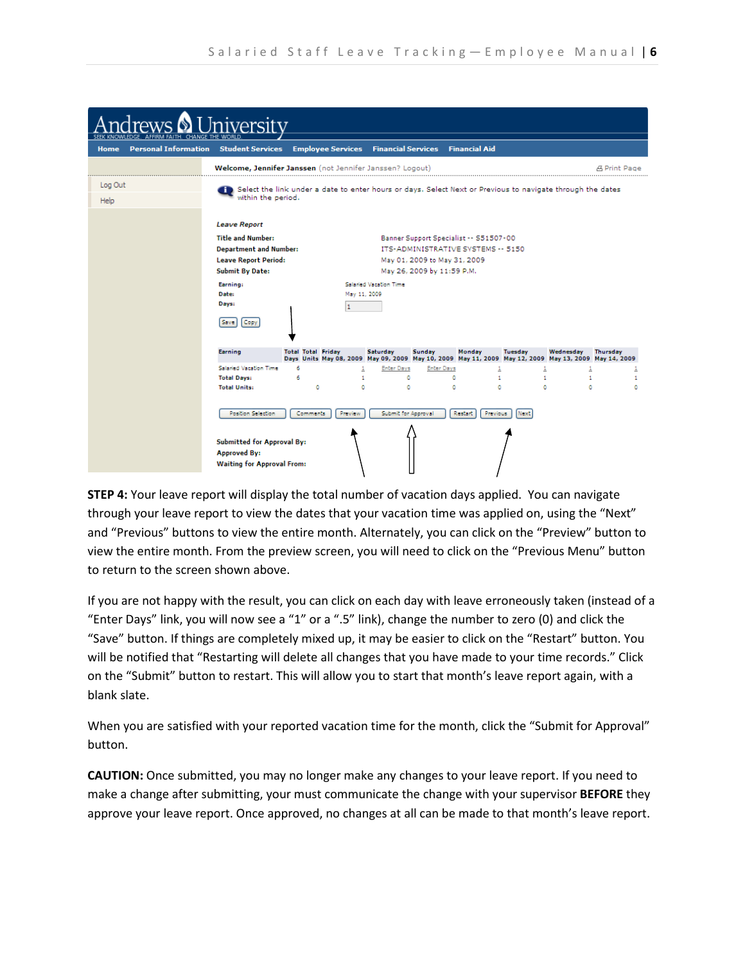|                                                      | iversity                                                                                                                                                                                |                                |                                                                                                                                                                                             |                               |                             |                                                                                                                 |                           |                           |                          |                     |
|------------------------------------------------------|-----------------------------------------------------------------------------------------------------------------------------------------------------------------------------------------|--------------------------------|---------------------------------------------------------------------------------------------------------------------------------------------------------------------------------------------|-------------------------------|-----------------------------|-----------------------------------------------------------------------------------------------------------------|---------------------------|---------------------------|--------------------------|---------------------|
| AFFIRM FAITH.<br><b>Personal Information</b><br>Home | CHANGE THE WORLD<br><b>Student Services</b>                                                                                                                                             |                                |                                                                                                                                                                                             |                               |                             | <b>Employee Services Financial Services Financial Aid</b>                                                       |                           |                           |                          |                     |
|                                                      | Welcome, Jennifer Janssen (not Jennifer Janssen? Logout)<br>the contract of the contract of the contract of the contract of the contract of                                             |                                |                                                                                                                                                                                             |                               |                             |                                                                                                                 |                           |                           |                          | <b>A Print Page</b> |
| Log Out<br>Help                                      | Select the link under a date to enter hours or days. Select Next or Previous to navigate through the dates<br>within the period.                                                        |                                |                                                                                                                                                                                             |                               |                             |                                                                                                                 |                           |                           |                          |                     |
|                                                      | <b>Leave Report</b><br><b>Title and Number:</b><br><b>Department and Number:</b><br><b>Leave Report Period:</b><br><b>Submit By Date:</b><br>Earning:<br>Date:<br>Days:<br>Copy<br>Save | 1                              | Banner Support Specialist -- S51507-00<br>ITS-ADMINISTRATIVE SYSTEMS -- 5150<br>May 01, 2009 to May 31, 2009<br>May 26, 2009 by 11:59 P.M.<br><b>Salaried Vacation Time</b><br>May 11, 2009 |                               |                             |                                                                                                                 |                           |                           |                          |                     |
|                                                      | Earning<br><b>Salaried Vacation Time</b>                                                                                                                                                | <b>Total Total Friday</b><br>6 |                                                                                                                                                                                             | Saturday<br><b>Enter Days</b> | Sunday<br><b>Enter Days</b> | Monday<br>Days Units May 08, 2009 May 09, 2009 May 10, 2009 May 11, 2009 May 12, 2009 May 13, 2009 May 14, 2009 | Tuesday                   | Wednesday                 | <b>Thursday</b>          |                     |
|                                                      | <b>Total Days:</b><br><b>Total Units:</b>                                                                                                                                               | 6<br>۰                         | $\mathbf{1}$<br>۰                                                                                                                                                                           |                               | ۰<br>۰                      | ۰<br>۰                                                                                                          | $\mathbf{t}$<br>$\bullet$ | $\mathbf{t}$<br>$\bullet$ | $\mathbf{t}$<br>$\alpha$ | 1<br>٥              |
|                                                      | Position Selection                                                                                                                                                                      | <b>Comments</b>                | Preview                                                                                                                                                                                     |                               | Submit for Approval         | Restart                                                                                                         | Previous<br>Next          |                           |                          |                     |
|                                                      | <b>Submitted for Approval By:</b><br><b>Approved By:</b><br><b>Waiting for Approval From:</b>                                                                                           |                                |                                                                                                                                                                                             |                               |                             |                                                                                                                 |                           |                           |                          |                     |

STEP 4: Your leave report will display the total number of vacation days applied. You can navigate through your leave report to view the dates that your vacation time was applied on, using the "Next" and "Previous" buttons to view the entire month. Alternately, you can click on the "Preview" button to view the entire month. From the preview screen, you will need to click on the "Previous Menu" button to return to the screen shown above.

If you are not happy with the result, you can click on each day with leave erroneously taken (instead of a "Enter Days" link, you will now see a "1" or a ".5" link), change the number to zero (0) and click the "Save" button. If things are completely mixed up, it may be easier to click on the "Restart" button. You will be notified that "Restarting will delete all changes that you have made to your time records." Click on the "Submit" button to restart. This will allow you to start that month's leave report again, with a blank slate.

When you are satisfied with your reported vacation time for the month, click the "Submit for Approval" button.

CAUTION: Once submitted, you may no longer make any changes to your leave report. If you need to make a change after submitting, your must communicate the change with your supervisor **BEFORE** they approve your leave report. Once approved, no changes at all can be made to that month's leave report.